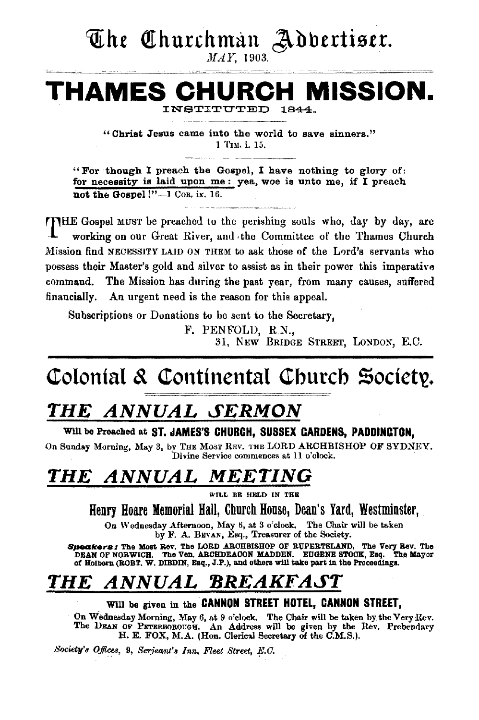The Churchman Advertiser.

MAY, 1903.

#### **CH MISSION.** THAMES INSTITUTED  $1844$

"Christ Jesus came into the world to save sinners." 1 Tru. i. 15.

"For though I preach the Gospel, I have nothing to glory of: for necessity is laid upon me: yea, woe is unto me, if I preach not the Gospel !"-1 Cos. ix. 16.

**TIME Gospel MUST** be preached to the perishing souls who, day by day, are working on our Great River, and the Committee of the Thames Church Mission find NECESSITY LAID ON THEM to ask those of the Lord's servants who possess their Master's gold and silver to assist as in their power this imperative The Mission has during the past year, from many causes, suffered command. financially. An urgent need is the reason for this appeal.

Subscriptions or Donations to be sent to the Secretary.

F. PENFOLD, R.N.,

31. NEW BRIDGE STREET. LONDON, E.C.

## Colonial & Continental Church Society.

## THE ANNUAL SERMON

#### Will be Preached at ST. JAMES'S CHURCH. SUSSEX CARDENS, PADDINCTON,

On Sunday Morning, May 3, by THE MOST REV. THE LORD ARCHBISHOP OF SYDNEY. Divine Service commences at 11 o'clock.

#### ANNUAL MEETING **THE**

WILL BE HELD IN THE

Henry Hoare Memorial Hall. Church House, Dean's Yard. Westminster.

On Wednesday Afternoon, May 6, at 3 o'clock. The Chair will be taken by F. A. BEVAN, Leq., Treasurer of the Society.

Speakers: The Most Rev. The LORD ARCHBISHOP OF RUPERTSLAND. The Very Rev. The DEAN OF NORWICH. The Ven. ARCHDEACON MADDEN. EUGENE STOCK, Esq. The Mayor of Holborn (ROBT. W. DIBDIN, Esq., J.P.), and others will take part in

#### ANNUAL BREAKFAST THE

#### Will be given in the CANNON STREET HOTEL, CANNON STREET,

On Wednesday Morning, May 6, at 9 o'clock. The Chair will be taken by the Very Rev.<br>The DEAN OF PETERBOROUGH. An Address will be given by the Rev. Prebendary H. E. FOX, M.A. (Hon. Clerical Secretary of the C.M.S.).

Society's Offices, 9, Serjeant's Inn, Fleet Street, E.C.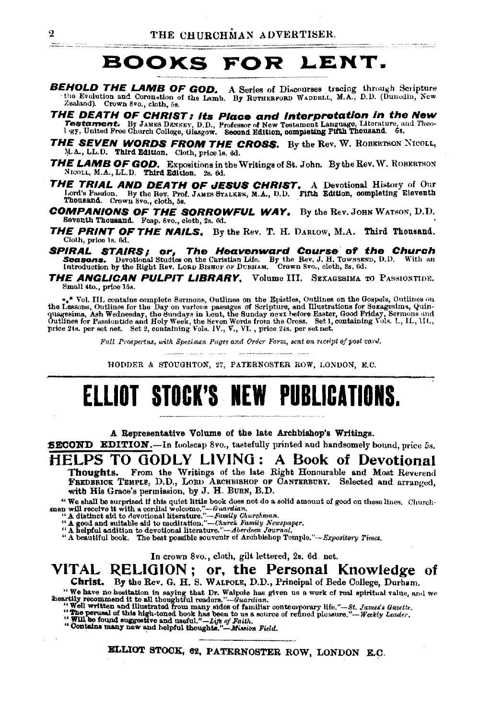## BOOKS FOR LENT.

- **BEHOLD THE LAMB OF GOD.** A Series of Discourses tracing through Scripture the Evolution and Coronation of the Lamb. By RUTHERFORD WADDELL, M.A., D.D. (Duncdin, New Zealand). Crown 8vo., cloth, 5s.
- **THE DEATH OF CHRIST: Its Place and Interpretation in the New Testament.** By JAMES DRYSEY, D.D., Professor of New Testament Language, Literature, and Theo-<br><sup>1</sup> vg, United Pree Church College, Glasgow. Second Edition, compl
- **THE SEVEN WORDS FROM THE CROSS.** By the Rev. W. ROBERTSON NICOLL, M.A., LL.D. Third Edition. Cloth, price ls. 6d.
- THE LAMB OF GOD. Expositions in the Writings of St. John. By the Rev. W. ROBERTSON NICOLL, M.A., LL.D. Third Edition. 2s. 6d.
- **THE TRIAL AND DEATH OF JESUS CHRIST.** A Devotional History of Our Lord's Passion. By the Rev, Prof. JAMES BTALKER, M.A., D.D. FIRE Edition, completing Eleventh Thousand. Crown 8vo., cloth, 5s.
- **COMPANIONS OF THE SORROWFUL WAY.** By the Rev. JOHN WATSON, D.D. Seventh Thousand. Feap. 8vo., cloth, 2s. 6d.
- **THE PRINT OF THE NAILS.** By the Rev. T. H. DARLOW, M.A. Third Thousand. Cloth, price ls. 6d.
- **SPIRAL STAIRS; or, The Heavenward Course of the Church Seasons.** Devotional Studies on the Christian Life. By the Rev. J. H. Townsgrop, D.D. With an Introduction by the Right Rev. LORD BISHOP OF DURHAM. Crown 8vo., cloth
- THE ANGLICAN PULPIT LIBRARY, Volume III. SEXAGESIMA TO PASSIONTIDE. Small 4to., price 15s.

 $\bullet_4{}^*$  Vol. III. contains complete Sermons, Outlines on the Epistles, Outlines on the Gospels, Outlines on the Lessons, Outlines for the Day on various passages of Scripture, and Illustrations for Sexagesima, Quinquage

Full Prospectus, with Specimen Pages and Order Form, sent on receipt of post card.

HODDER & STOUGHTON, 27, PATERNOSTER ROW, LONDON, E.C.

# ELLIOT STOCK'S NEW PUBLICATIONS.

A Representative Volume of the late Archbishop's Writings.

**SECOND EDITION.—In foolscap 8vo., tastefully printed and handsomely bound, price 5s.** 

### HELPS TO GODLY LIVING: A Book of Devotional

From the Writings of the late Right Honourable and Most Reverend Thoughts. FREDERICK TEMPLE, D.D., LORD ARCHBISHOP OF CANTERBURY. Selected and arranged. with His Grace's permission, by J. H. BURN, B.D.

"We shall be surprised if this quiet little book does not do a solid amount of good on these lines. Church-The state of the second and the second and the second and the second and the second and the second and the second interaction of the detector of the second and state is a distinct and the detector of the second and the sec

In crown 8vo., cloth, gilt lettered, 2s. 6d. net.

#### VITAL RELIGION; or, the Personal Knowledge of Christ. By the Rev. G. H. S. WALFOLE, D.D., Principal of Bede College, Durham.

We have no hesitation in saying that Dr. Walpels has given us a work of real spiritual value, and we<br>heartily recommend it to all thoughtful readors."—Guardian.<br>"Well written and illustrated from many sides of familiar co

ELLIOT STOCK, 62, PATERNOSTER ROW, LONDON E.C.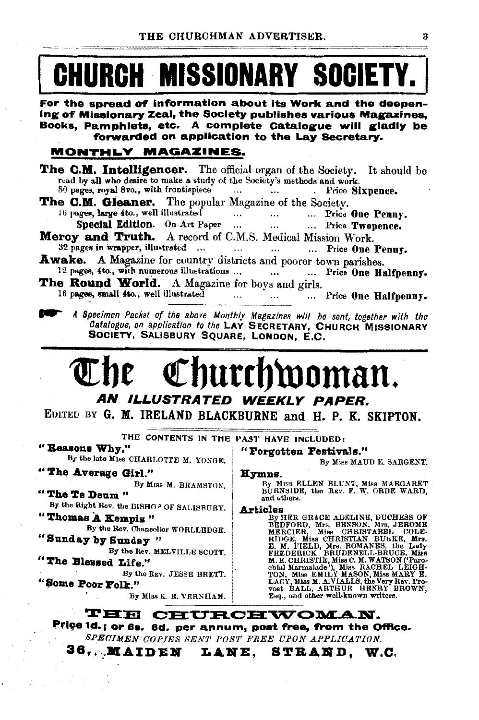# **CHURCH MISSIONARY SOCIETY.**

For the spread of information about its Work and the deepening of Missionary Zeal, the Society publishes various Magazines. Books, Pamphlets, etc. A complete Catalogue will gladly be forwarded on application to the Lay Secretary.

#### MONTHLY MAGAZINES.

- **The C.M. Intelligencer.** The official organ of the Society. It should be read by all who desire to make a study of the Society's methods and work.
- 80 pages, royal 8vo., with frontispiece . Price Sixpence.
- The C.M. Gleaner. The popular Magazine of the Society. 16 pages, large 4to., well illustrated  $\cdots$ ... Price One Penny.  $\cdots$ 
	- Special Edition. On Art Paper ... ... Price Twopence.  $\ddotsc$
- Mercy and Truth. A record of C.M.S. Medical Mission Work. 32 pages in wrapper, illustrated ... ... Price One Penny.  $\ldots$  $\cdots$
- Awake. A Magazine for country districts and poorer town parishes. 12 pages, 4to., with numerous illustrations ... ... Price One Halfpenny.  $\ddotsc$
- The Round World. A Magazine for boys and girls. 16 pages, small 4to., well illustrated ... Price One Halfpenny.  $\ldots$ 
	- A Specimen Packet of the above Monthly Magazines will be sent, together with the Catalogue, on application to the LAY SECRETARY, CHURCH MISSIONARY SOCIETY, SALISBURY SQUARE, LONDON, E.C.

## Inurchwoman. AN ILLUSTRATED WEEKLY PAPER.

EDITED BY G. M. IRELAND BLACKBURNE and H. P. K. SKIPTON.

THE CONTENTS IN THE PAST HAVE INCLUDED:

"Reasons Why."

By the late MISS CHARLOTTE M. YONGE.

"The Average Girl."

By MISS M. BRAMSTON. "The Te Deum"

- By the Right Rev. the BISHOP OF SALISBURY.
- "Thomas A Kempis" By the Rev. Chancellor WORLLEDGE.

"Sunday by Sunday"

By the Rev. MELVILLE SCOTT. "The Blessed Life."

By the REV. JESSE BRETT. "Some Poor Folk."

By Miss K. E. VERNHAM.

Hymns. By Miss FLLEN BLUNT, Miss MARGARET BURNSIDE, the Rev. F. W. ORDE WARD, and others.

By Miss MAUD E. SARGENT.

"Forgotten Festivals."

**Articles** 

ILES GRACE ADNLINE, DUCHESS OF BEDFORD, Mrs. JEROME MERCIER, Miss CHRISTADEL (COLE. R. M. POPE, Miss CHRISTAN BUMER, Mrs. JEROME E. M. FUELD, Mrs. ROMANES, the Lady FREDERICK BRUDENELL-BRUCE. Miss MARY E. CHRISTIE, Miss C.

**THE CHURCHWOMAN.** Price 1d.; or 6s. 6d. per annum, post free, from the Office. SPECIMEN COPIES SENT POST FREE UPON APPLICATION.

36, MAIDEN LANE, STRAND, W.C.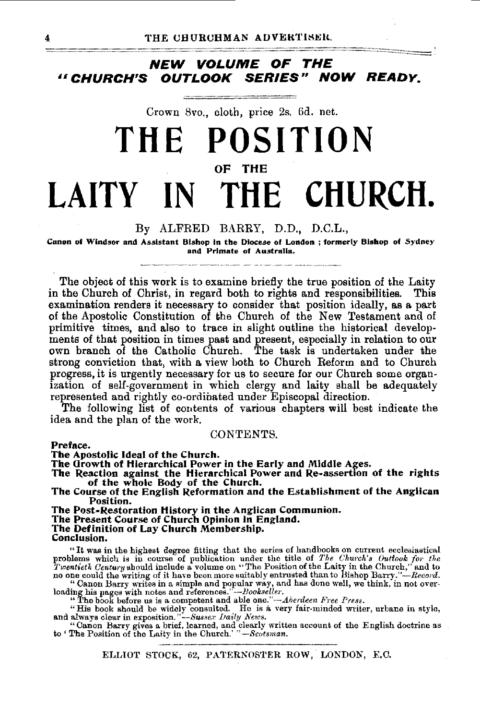### **NEW VOLUME OF THE**  *u* **CHURCH'S OUTLOOK SERIES" NOW READY.**

Crown Svo., cloth, price 2s. 6d. net.

# **THE POSITION**  OF THE LAITY IN THE CHURCH.

#### By ALFRED BARRY, D.D., D.C.L.,

Canon of Windsor and Assistant Bishop In the Diocese of London ; formerly Bishop of Sydney and Primate of Australia.

The object of this work is to examine briefly the true position of the Laity in the Church of Christ, in regard both to rights and responsibilities. This examination renders it necessary to consider that position ideally, as a part of the Apostolic Constitution of the Church of the New Testament and of primitive times, and also to trace in slight outline the historical develop· menta of that position in times past and present, especially in relation to our own branch of the Catholic Church. The task is undertaken under the strong conviction that, with a view both to Church Reform and to Church progress, it is urgently necessary for us to secure for our Church some organization of self-government in which clergy and laity shall be adequately represented and rightly co-ordinated under Episcopal direction.

The following list of contents of various chapters will best indicate the idea and the plan of the work. CONTENTS.

#### Preface.

The Apostolic Ideal of the Church.<br>The Growth of Hierarchical Power in the Early and Middle Ages.

The Reaction against the Hierarchical Power and Re-assertion of the rights of the whole Body of the Church.

The Course of the English Reformation and the Establishment of the Anglican Position.

The Post-Restoration History in the Anglican Communion.

The Present Course of Church Opinion in England.<br>The Definition of Lay Church Membership.<br>Conclusion.

"It was in the highest degree fitting that the series of handbooks on current ecclesiastical problems which is in course of publication under the title of *The Church's Outlook for the Twentieth Century* should include a volume on "The Position of the Laity in the Church," and to no one could the writing of it hav

"Canon Barry writes in a simple and popular way, and has done well, we think, in not over-<br>loading his pages with notes and references."—*Hookselter.*<br>"The book before us is a competent and able one."—Aberdeen Free Press.

ELLIOT STOCK, 62, PATERNOSTER ROW, LONDON, E.C.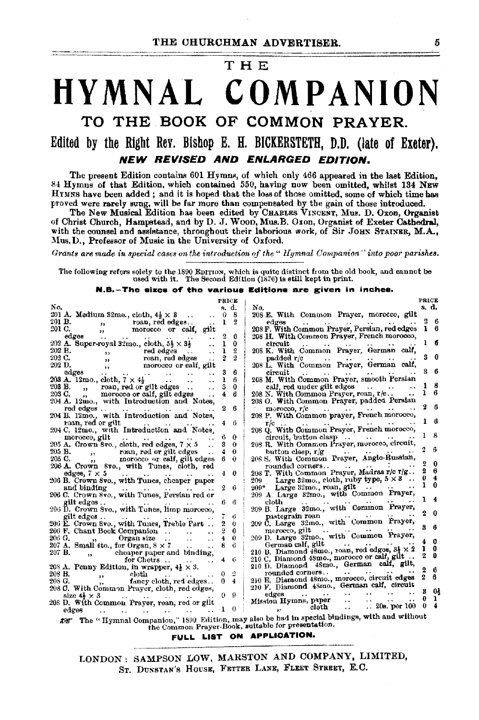#### THE

## HYMNAL COMPANION TO THE BOOK OF COMMON PRAYER. Edited by the Right Rev. Bishop E. H. BICKERSTETH, D.D. (late of Exeter). NEW REVISED AND ENLARGED EDITION.

The present Edition contains 601 Hymns, of which only 466 appeared in the last Edition, *84* Hymns of that Edition, which contained 550, having now been omitted, whilst 184 NEw HYMNS have been added; and it is hoped that the loss of those omitted, some of which time has proved were rarely sung, will be far more than compensated by the gain of those introduced.

The New Musical Edition has been edited by CHARLES VINCENT, Mus. D. Oxon, Organist of Christ Church, Hampstead, and by D. J. Woon, MUll, B. Ox on, Organist of Exeter Cathedral, with the counsel and assistance, throughout their laborious work, of Sir JOHN STAINER,  $M.A.,$ Mus. D., Professor of Music in the University of Oxford.

*Grants are made in special cases on the introduction of the* " *lfyrnnal Companion" ·into poor parishes.* 

The following refers solely to the 1890 EDITION, which is quito distinct from the old book, and cannot be used with it. The Second Edition (1876) is still kept in print.

N.B.-The sizes of' the variowa Editions are given in inches.

|                                                                             | PRICE          |                                                                                             | <b>PRICE</b>      |  |
|-----------------------------------------------------------------------------|----------------|---------------------------------------------------------------------------------------------|-------------------|--|
| No.                                                                         | a. d.          | No.                                                                                         | s. d.             |  |
| 201 A. Medium 32mo., cloth, $4\frac{1}{2} \times 3$                         | 0              | 208 E. With Common Prayer, morocco, gilt<br>-8                                              |                   |  |
| 201 B.<br>roan, red edges<br>$\overline{\phantom{a}}$                       | 1              | edges                                                                                       | 2<br>6            |  |
| 201 C.<br>morocco or calf, gilt<br>$55 -$                                   |                | 208 F. With Common Prayer, Persian, red edges                                               | в                 |  |
| edgos<br>$\ddotsc$                                                          |                | 208 H. With Common Prayer, French morocco,<br>6                                             |                   |  |
| 202 A. Super-royal 32mo., cloth, $5\frac{1}{3} \times 3\frac{1}{2}$         | ı              | 0<br>circuit<br>$\ddot{\phantom{0}}$                                                        | ı<br>6            |  |
| 202 B.<br>red edges<br>$11 -$                                               | ı              | 208 K. With Common Prayer, German calf,<br>2                                                |                   |  |
| 202 C.<br>$\cdots$                                                          | 2              | $\overline{2}$<br>padded r/c                                                                | O                 |  |
| 202 D.<br>$\sim$ $\sim$                                                     |                | 208 L. With Common Prayer, German calf,                                                     |                   |  |
| roan, red eages<br>morocco or calf, gilt<br>odges,<br>$\ddot{\phantom{a}}$  | 3              | circuit<br>6<br>$\sim$                                                                      | - 6<br>8          |  |
| edges<br>203 A. 12mo., cloth, $7 \times 4\frac{1}{2}$                       | ł              | 208 M. With Common Prayer, smooth Persian<br>в                                              |                   |  |
| 20 <b>3 B</b> .<br>roan, red or gilt edges                                  | 3              | calf, red under gilt edges<br>0                                                             | 8                 |  |
| $\mathbf{B}$<br>203 C.<br>" morocco or calt, gilt edges                     | 4              | 208 N. With Common Prayer, roan, r/c<br>6                                                   | L                 |  |
| 204 A. 12mo., with Introduction and Notes,                                  |                | 208 O. With Common Prayer, padded Persian                                                   |                   |  |
|                                                                             | 9.             | в                                                                                           | 2<br>6            |  |
| red edges<br>$\ddotsc$<br>$\sim$ $\sim$                                     |                | morocco, г/с<br>and the analysis are a series                                               |                   |  |
| 204 B. 12mo., with Introduction and Notes,                                  |                | 208 P. With Common prayer, French morocco,                                                  |                   |  |
| roan, red or gilt                                                           | 4              | -6                                                                                          |                   |  |
| 204 C. 12mo., with Introduction and Notes.                                  |                | 208 Q. With Common Prayer, French morocco,                                                  | -8                |  |
| morocco, gilt<br><b>Contract Contract Contract</b><br>$-24.4 -$<br>$\cdots$ | 6              | 0                                                                                           |                   |  |
| 205 A. Crown 8vo., cloth, red edges, $7 \times 5$                           | я              | 208 R. With Common Prayer, morocco, circuit,<br>$\Omega$                                    | ñ                 |  |
| 205 B.<br>,, roan, red or gilt edges<br>,, morocco or calf. gilt eq         | 4              | $\Omega$<br>button clasp, $r/g$<br>$\sim$ $\sim$                                            |                   |  |
| 205 C.<br>morocco or calf, gilt edges                                       | 6.             | 208 S. With Common Prayer, Anglo-Russian,<br>Û                                              | 0                 |  |
| 206 A. Crown 8vo., with Tunes, cloth, red                                   |                | rounded corners                                                                             | 2<br>6            |  |
| edges, $7 \times 5$<br>$\cdots$                                             | $\pm$          | 208 T. With Common Prayer, Madras r/c r/g<br>0                                              | 4                 |  |
| 206 B. Crown 8vo., with Tunes, cheaper paper                                |                | Large 32mo., cloth, ruby type, $5 \times 3$<br>209 -                                        | 0<br>ı<br>n       |  |
| and binding                                                                 | $\overline{2}$ | $209^*$ Large 32mo., roan, gilt $\cdots$<br>-6                                              |                   |  |
| 206 C. Crown 8vo., with Tunes, Persian red or                               |                | 209 A. Large 32mo., with Common Prayer,                                                     |                   |  |
| gilt edges<br>$\sim$ $\sim$ $\sim$<br>$\sim$ 10 $\mu$ m $^{-1}$             | 6.             | cloth<br>в                                                                                  |                   |  |
| 206 D. Crown 8vo., with Tunes, limp moroeco,                                |                | 209 B. Large 32mo., with Common Prayer,                                                     |                   |  |
| gilt edges                                                                  |                | pastegrain roan<br>6                                                                        | 2<br>0            |  |
| 206 E. Crown 8vo., with Tunes, Treble Part                                  |                | 209 C. Large 32mo., with Common Prayer,<br>0                                                |                   |  |
|                                                                             | Q.             | meroeco, gilt $\cdots$ . $\cdots$<br>O                                                      | 8<br>я            |  |
| 206 G.<br>$\alpha$ , Organ size<br>$\sim$                                   | 4              | 209 D. Large 32mo., with Common Prayer,<br>0                                                |                   |  |
| 207 A. Small 4to., for Organ, $8 \times 7$<br>$\sim 10^{-1}$                | 8              | German calf, gilt<br>-6                                                                     | e                 |  |
| 207 B.<br>cheaper paper and binding,                                        |                | 210 B. Diamond 48mo., roan, red edges, 3} × 2                                               | 0<br>ı            |  |
| for Choirs<br>$\ddot{\phantom{a}}$<br>$\cdots$                              | 4              | 210 C. Diamond 48mo., morocco or calf, gilt<br>-6                                           | 2<br>n            |  |
| 208 A. Penny Edition, in wrapper, $4\frac{1}{2} \times 3$ .                 |                | 210 D. Diamond 48mo., German calf, gilt,                                                    |                   |  |
| 208 B.<br>cloth                                                             |                | rounded corners<br>$\ddot{\phantom{0}}$<br>2                                                | 2<br>6            |  |
| $\sim$<br>208 G.<br>fancy cloth, red edges. .                               | 04             | 210 E. Diamond 48mo., morocco, circuit edges                                                | $\mathbf{z}$<br>R |  |
| $, \, \cdot$<br>208 C. With Common Prayer, cloth, red edges,                |                | 210 F. Diamond 48mo., German calf, eircuit                                                  |                   |  |
| size $4\lambda \times 3$                                                    | $0 \quad 9$    | state of the contract of<br>$\bullet$ + $\bullet$<br>edges                                  | œ<br>з            |  |
| $\sim$ $\sim$                                                               |                | Mission Hymns, paper<br>$\ddot{\phantom{0}}$                                                | 0<br>ı            |  |
| 208 D. With Common Prayer, roan, red or gilt                                |                | 20s. per 100<br>cloth<br>$\cdots$<br>0                                                      | $\Omega$          |  |
| edges                                                                       |                |                                                                                             |                   |  |
| A.S.                                                                        |                | The "Hymnal Companion," 1890_Edition, may also be had in special bindings, with and without |                   |  |
| the Common Prayer-Book, suitable for presentation.                          |                |                                                                                             |                   |  |

FULL LIST ON APPLICATION.

LONDON: SAMPSON LOW, MARSTON AND COMPANY, LIMITED, ST. DUNSTAN'S HOUSE, FETTER LANE, FLEET STREET, E.C.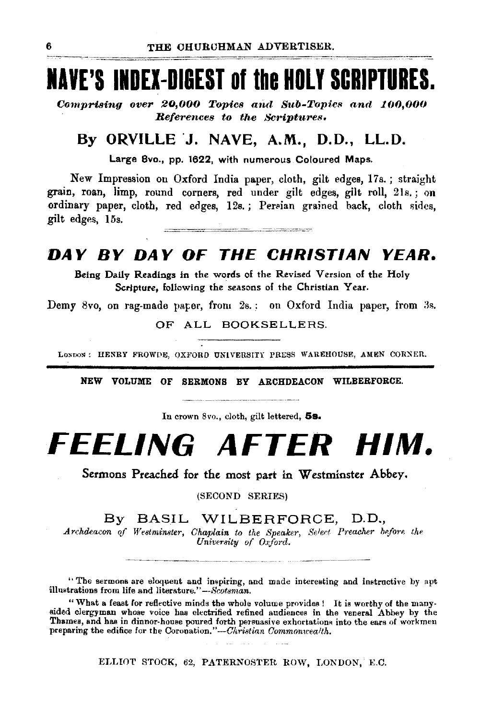## **lAVE'S INDEI-DIBEST of the HOLY SCRIPTURES.**

Comprising over 20,000 Topics and Sub-Topics and 100,000 *Beferences to the Scriptures.* 

### **By ORVILLE ·J. NAVE, A.M., D.D., LL.D.**

Large Bvo., pp. 1622, with numerous Coloured Maps.

New Impression on Oxford India paper, cloth, gilt edges, 17s. ; straight grain, roan, limp, round corners, red under gilt edges, gilt roll, 2ls.; on ordinary paper, cloth, red edges, 12s.; Persian grained back, cloth sides, gilt edges, 15s. .<br>Alan tahun 1999 - Peranci Kabupaten Kalèndher Kabupaten

### **DAY BY DAY OF THE CHRISTIAN YEAR.**

Being Daily Readings in the words of the Revised Version of the Holy Scripture, following the seasons of the Christian Year.

Demy 8vo, on rag-made paper, from 2s. : on Oxford India paper, from 3s.

OF ALL BOOKSELLERS.

LONDON: HENRY FROWDE, OXFORD UNIVERSITY PRESS WAREHOUSE, AMEN CORNER.

NEW VOLUME OF SERMONS BY ARCHDEACON WILBERFORCE.

In crown 8vo., cloth, gilt lettered, **5s.** 

# **FEELING AFTER HIM.**

Sermons Preached for the most part in Westminster Abbey.

(SECOND SERIES)

By BASIL WILBERFORCE, D.D.,

*Archdeacon of Westminster, Chaplain to the Speaker, Select Preacher before the* University of Oxford.

"The sermons are eloquent and inspiring, and made interesting and instructive by apt illustrations from life and literature."-Scotsman.

"What a feast for reflective minds the whole volume provides! It is worthy of the manysided clergyman whose voice has electrified refined audiences in the veneral Abbey by the Thames, and has in dinnor-house poured forth persuasive exhortations into the ears of workmen preparing the edifice for the Coronation."-Christian Commonwealth.

ELLIOT STOCK, 62, PATERNOSTER ROW, LONDON, E.C.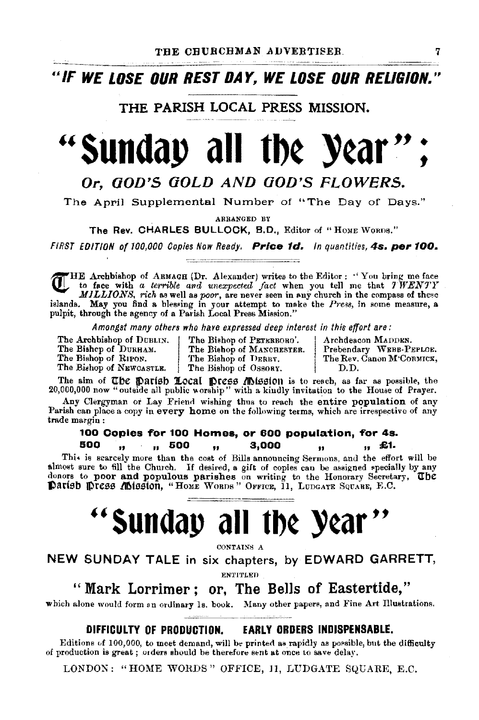<sup>u</sup>*IF* **WE LOSE OUR REST DAY, WE LOSE OUR RELIGION."** 

THE PARISH LOCAL PRESS MISSION.

# **''sunday all tb¢ Y¢ar** '' ;

### Or. GOD'S GOLD AND GOD'S FLOWERS.

The April Supplemental Number of "The Day of Days."

ARRANGED BY

The Rev. CHARLES BULLOCK, B.D., Editor of "Home Worns."

FIRST EDITION of 100,000 Copies Now Ready. Price 1d. In quantities, 4s. per 100.

HE Archbishop of ARMAGH (Dr. Alexander) writes to the Editor : "You bring me face **\l.J,.-** to face with *a terrible and unexpected fact* when you tell me that *'JWEN'PY MILLIONS, rich* as well as *poor*, are never seen in any church in the compass of these islands. May you find a blessing in your attempt to make the *Press*, in some measure, a pulpit, through the agency of a Parish Local Press Mission."

Amongst many others who hare expressed deep interest in this effort are:<br>The Archbishop of DUBLIN. The Bishop of PETERBORO'. | Archdeacon MADDEN,

The Bishop of NEWCASTLE.

The Bishcp of DURHAM. The Bishop of MANCHESTER. Prebendary WEBB-PEPLOE.<br>The Bishop of RIFON. The Bishop of DERRY. The Rev. Canon M'CORMICK, The Bishop of DERRY. The Rev. Canon M'CORMICK,<br>The Bishop of Ossoay. D.D.

The aim of The Darish Local Dress Mission is to reach, as far as possible, the 20,000,000 now "outside all public worship" with a kindly invitation to the House of Prayer.

Any Clergyman or Lay Friend wishing thus to reach the entire population of any Parish can place a copy in every home on the following terms, which are irrespective of any trade margin :

## 100 Copies for 100 Homes, or 600 population, for 4s.<br>100 min 500 min 3,000 min 41.

&00 " " 500 .. 3,000 " " £1.

Thi• is scarcely more than the cost of Bills announcing Sermons, and the effort will be almost sure to fill the Church. If desired, a gift of copies can be assigned specially by any donors to poor and populous parishes on writing to the Honorary Secretary, The **Parisb press Mission, "Home WORDS" OFFICE, 11, LUDGATE SQUARE, E.C.** 

# **''Sunday all tb¢ Y¢ar** ''

CONTAINS A

NEW SUNDAY TALE in six chapters, by EDWARD GARRETT,

EN~'ITLED

"Mark Lorrimer; or, The Bells of Eastertide,"

which alone would form an ordinary Is. book. Many other papers, and Fine Art Illustrations.

#### DIFFICULTY OF PRODUCTION. EARLY ORDERS INDISPENSABLE.

Editions of 100,000, to meet demand, will be printed as rapidly as possible, but the difficulty of production is great; orders should be therefore sent at once to save delay.

LONDON: "HOME WORDS" OFFICE, 11, LUDGATE SQUARE, E.C.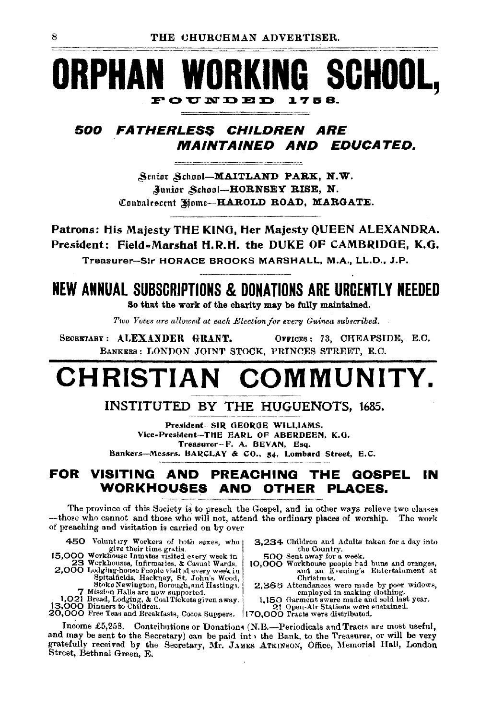### WORKING SCHOOL, RPHA FOUNDED 1758.

#### 500 *Fatherless Children Are MAINTAINED AND EDUCATED.*

Senior School-MAITLAND PARK, N.W. Junior School-HORNSEY RISE, N. Contalescent Home-HAROLD ROAD, MARGATE.

Patrons: His Majesty THE KING, Her Majesty QUEEN ALEXANDRA. President: Field-Marshal H.R.H. the DUKE OF CAMBRIDGE, K.G. Treasurer-Sir HORACE BROOKS MARSHALL, M.A., LL.D., J.P.

## **NEW ANNUAL SUBSCRIPTIONS & DONATIONS ARE URGENTLY NEEDED**

So that the work of the charity may be fully maintained.

Two Votes are allowed at each Election for every Guinea subscribed.

SECRETARY: ALEXANDER GRANT. OFFICES: 73, CHEAPSIDE, E.C. BANKERS: LONDON JOINT STOCK, PRINCES STREET, E.C.

### **CHRISTIAN** COMMUNITY.

#### INSTITUTED BY THE HUGUENOTS, 1685.

President-SIR GEORGE WILLIAMS. Vice-President-THE EARL OF ABERDEEN. K.G. Treasurer-F. A. BEVAN, Esq. Bankers-Messrs. BARCLAY & CO., 54, Lombard Street, E.C.

#### FOR VISITING AND PREACHING THE GOSPEL ΙN WORKHOUSES AND OTHER **PLACES.**

The province of this Society is to preach the Gospel, and in other ways relieve two classes -those who cannot and those who will not, attend the ordinary places of worship. The work of preaching and visitation is carried on by over

450 Voluntary Workers of both sexes, who give their time gratis.<br>15,000 Workhouse Innates visited every week in

- 
- 
- 

- 3,234 Children and Adults taken for a day into the Country.
- 500 Sent away for a week.
- 10,000 Workhouse poople had buns and oranges, Christmas.
- Spitaineids, Hackney, Et. John s wood,<br>
Shoke Newington, Borough, and Hastings,<br>
7 Mission Halls are now supported.<br>
1,021 Bread, Lodging, & Coal Tickets given a way.<br>
1,150 Garment swere made and sold lust<br>
1,3000 Dinners 2,366 Attendances were made by poor widows, 1,150 Garment swere made and sold last year.
	-
	-

Income £5,258. Contributions or Donations (N.B.—Periodicals and Tracts are most useful, and may be sent to the Secretary) can be paid int , the Bank, to the Treasurer, or will be very gratefully received by the Secretary, Mr. JAMES ATKINSON, Office, Memorial Hall, London Street, Bethnal Green, E.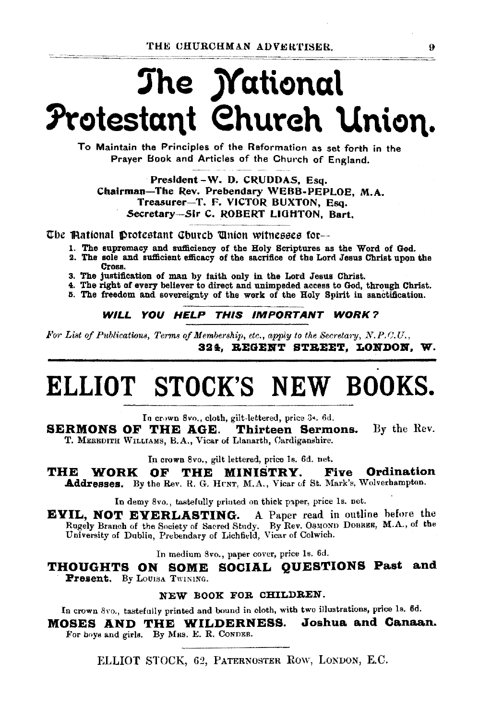# The *Mational* Protestant Church Union.

To Maintain the Principles of the Reformation as set forth in the Praver Book and Articles of the Church of England.

President-W. D. CRUDDAS. Esq. Chairman-The Rev. Prebendary WEBB-PEPLOE. M.A. Treasurer-T. F. VICTOR BUXTON, Esq. Secretary-Sir C. ROBERT LIGHTON, Bart.

The Mational Drotestant Church Union witnesses for-

- 1. The supremacy and sufficiency of the Holy Scriptures as the Word of God.
- 2. The sole and sufficient efficacy of the sacrifice of the Lord Jesus Christ upon the Cross.
- 3. The justification of man by faith only in the Lord Jesus Christ.
- 4. The right of every believer to direct and unimpeded access to God, through Christ.
- 5. The freedom and sovereignty of the work of the Holy Spirit in sanctification.

WILL YOU HELP THIS IMPORTANT WORK?

For List of Publications, Terms of Membership, etc., apply to the Secretary, N.P.C.U., 324. REGENT STREET. LONDON. W.

# ELLIOT STOCK'S NEW BOOKS.

In crown 8vo., cloth, gilt-lettered, price 3s, 6d.

**SERMONS OF THE AGE.** Thirteen Sermons. By the Rev. T. MEREDITH WILLIAMS, B.A., Vicar of Llanarth, Cardiganshire.

In crown 8vo., gilt lettered, price 1s. 6d. net.

THE WORK **Five Ordination** OF THE MINISTRY. Addresses. By the Rev. R. G. HUNT, M.A., Vicar of St. Mark's, Wolverhampton.

In demy 8vo., tastefully printed on thick paper, price 1s. net.

A Paper read in outline before the EVIL, NOT EVERLASTING. Rugely Branch of the Society of Sacred Study. By Rev. OSMOND DOBREE, M.A., of the University of Dublin, Prebendary of Lichfield, Vicar of Colwich.

In medium 8vo., paper cover, price 1s. 6d.

THOUGHTS ON SOME SOCIAL QUESTIONS Past and Present. By LOUISA TWINING.

#### NEW BOOK FOR CHILDREN.

In crown 8vo., tastefully printed and bound in cloth, with two illustrations, price 1s. 6d.

MOSES AND THE WILDERNESS. Joshua and Canaan. For boys and girls. By MRS. E. R. CONDER.

ELLIOT STOCK, 62, PATERNOSTER ROW, LONDON, E.C.

 $\Omega$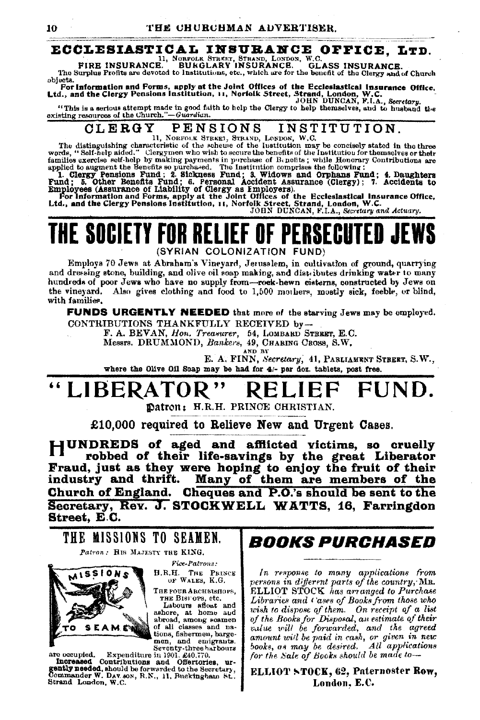#### ECCLESIASTICAL INSURANCE OFFICE, LTD.

FIRE INSURANCE. BURGLARY INSURANCE. GL. **GLASS INSURANCE.** 

TIRE INDURING: DURULAR INDURING: CHANGE INDUSTRIES.<br>The Surplus Profits are devoted to Institutions, etc., which are for the benefit of the Clergy and of Church objects.

objects.<br>For information and Forms, apply at the Joint Offices of the Ecclesiastical insurance Office.<br>Ltd., and the Clergy Pensions Institution, 11, Norfolk Street, Strand, London, W.C.<br>JOHN DUNCAN, F.I.A., Secretary.

"This is a serious attempt made in good faith to help the Clergy to help themselves, and to husband the existing resources of the Church."-Guardian.

#### CLERGY **PENSIONS** INSTITUTION.

The distinguishing characteristic of the scheme of the lustitution may be concisely stated in the three words, "Self-help aided," Clergymen who wish to secure the benefits of the Institution for themselves or their words, words, "Self-help sided." Clergymen who wish to secure the benefits of the Institution for themselves or their families exercise felf-help hy making payments in purchase of B-nebits; while Honorary Contributions are applie

THE SOCIETY FOR RELIEF OF PERSECUTED JE (SYRIAN COLONIZATION FUND)

Employs 70 Jews at Abraham's Vineyard, Jerusalem, in cultivation of ground, quarrying and dressing stone, building, and olive oil soap making, and distributes drinking water to many hundreds of poor Jews who have no supply from-rock-hewn cisterns, constructed by Jews on the vinevard. Also gives clothing and food to 1,500 mothers, mostly sick, feeble, or blind, with families.

**FUNDS URGENTLY NEEDED** that more of the starving Jews may be employed. CONTRIBUTIONS THANKFULLY RECEIVED by-

F. A. BEVAN, Hon. Treasurer, 54, LOMBARD STBRET, E.C.

Messrs. DRUMMOND, Bankers, 49, CHARING CROSS, S.W.

and<sup>'</sup> by

E. A. FINN, Secretary, 41, PARLIAMENT STREET, S.W.,

where the Olive Oil Soap may be had for 4/- per doz. tablets, post free.

#### "LIBERATO FUND.

Datron: H.R.H. PRINCE CHRISTIAN.

£10,000 required to Relieve New and Urgent Cases.

HUNDREDS of aged and afflicted victims, so cruelly robbed of their life-savings by the great Liberator Fraud, just as they were hoping to enjoy the fruit of their<br>industry and thrift. Many of them are members of the Church of England. Cheques and P.O.'s should be sent to the Secretary, Rev. J. STOCKWELL WATTS, 16. Farringdon Street, E.C.

THE MISSIONS TO SEAMEN. Patron: HIS MAJESTY THE KING.

> Pice-Patrons: H.R.H. THE PRINCE OF WALES, K.G.

> THE FOUR ARCHBISHOPS. THE BISFOPS, etc.

Labours aftest and<br>ashore, at home and<br>abroad, among seamen<br>of all classes and na-

tions, fishermen, barge-

men, and emigrants.



Seventy-three harbours seventy-three hather in 1901. *gain* the hather in 1901. *gainly needed*, and offertories, urgently needed, should be forwarded to the Secretary, Commander W. DAV. son, R.N., 11, Buckingham St., Strand London, W.C.

## *BOOKS PURCHASED*

In response to many applications from persons in different parts of the country, MR.<br>ELLIOT STOCK has arranged to Purchase Libraries and Cases of Books from those who wish to dispose of them. On receipt of a list<br>of the Books for Disposal, an estimate of their value will be forwarded, and the agreed amount will be paid in cash, or given in new books, as may be desired. All applications for the Sale of Books should be made to-

#### ELLIOT STOCK, 62, Paternoster Row, London, E.C.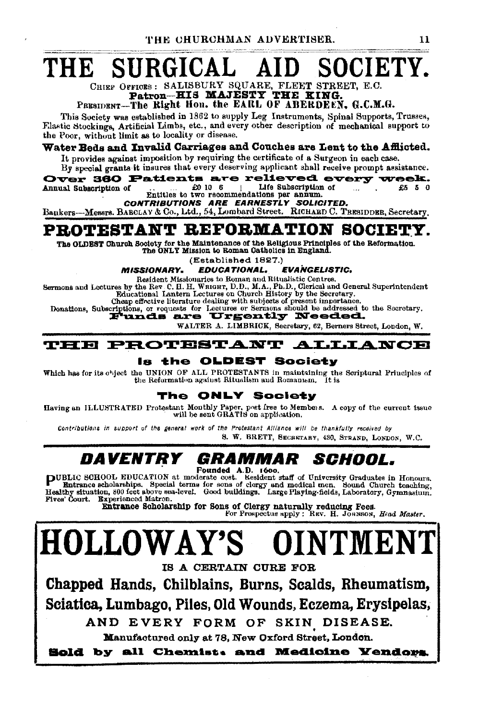THE CHURCHMAN ADVERTISER.

### SOCIETY. THE SURGICA

CHIRF OFFICES: SALISBURY SQUARE, FLEET STREET, E.C. Patron-HIS MAJESTY THE KING.

#### PRESIDENT-The Right Hon, the EARL OF ABERDEEN, G.C.M.G.

This Society was established in 1862 to supply Leg Instruments, Spinal Supports, Trusses, Flastic Stockings, Artificial Limbs, etc., and every other description of mechanical support to the Poor, without limit as to locality or disease.

#### Water Beds and Invalid Carriages and Couches are Lent to the Afflicted.

It provides against imposition by requiring the certificate of a Surgeon in each case. By special grants it insures that every deserving applicant shall receive prompt assistance.

Over 360 Patients are relieved every week. Life Subscription of Annual Subscription of £0 10 6 £5 5 0  $\sim$ Entitles to two recommendations per annum.

CONTRIBUTIONS ARE EARNESTLY SOLICITED.

Bankers-Messrs, BARCLAY & Co., Ltd., 54, Lombard Street. RICHARD C. TRESIDDER, Secretary.

### PROTESTANT REFORMATION SOCIETY.

The OLDEST Church Society for the Maintenance of the Religious Principles of the Reformation.<br>The ONLY Mission to Roman Catholics in England.

(Established 1827.)

**MISSIONARY. EDUCATIONAL. EVANGELISTIC.** 

Resident Missionaries to Roman and Ritualistic Centres.

Sermons and Lectures by the Rev C. H. H. WRIGHT, D. D., M.A., Ph.D., Clerical and General Superintendent<br>Educational Lantern Lectures on Church History by the Secretary.

Cheap effective literature dealing with subjects of present importance.

Donations, Subscriptions, or requests for Lettures or Sermons should be addressed to the Secretary.

WALTER A. LIMBRICK, Secretary, 62, Berners Street, London, W.

#### **THE PROTESTANT ALLIANCE**

#### Is the OLDEST Society

Which has for its object the UNION OF ALL PROTESTANTS in maintaining the Scriptural Principles of the Reformation against Ritualism and Romanism. It is

#### **ONLY Society** The

Having an ILLUSTRATED Protestant Mouthly Paper, post free to Members. A copy of the current issue<br>will be sent GRATIS on application.

Contributions in support of the general work of the Protestant Alliance will be thankfully received by S. W. BRETT, SECRETARY, 430, STRAND, LONDON, W.C.

#### *DAVENTRY GRAMMAR SCHOOL.*

Founded A.D. 1600.<br>
Founded A.D. 1600.<br>
Entrance scholarships. Special terms for some of clergy and medical nen. Sounded hearing,<br>
Healthy situation, 300 feet above sea-lovel. Good buildings. Large Playing-fields, Laborato Fives' Court. **Experienced Matron.** 

Entrance Scholarship for Sons of Clergy naturally reducing Fees.<br>For Prospectus apply: REV. H. JORNSON, Head Master.